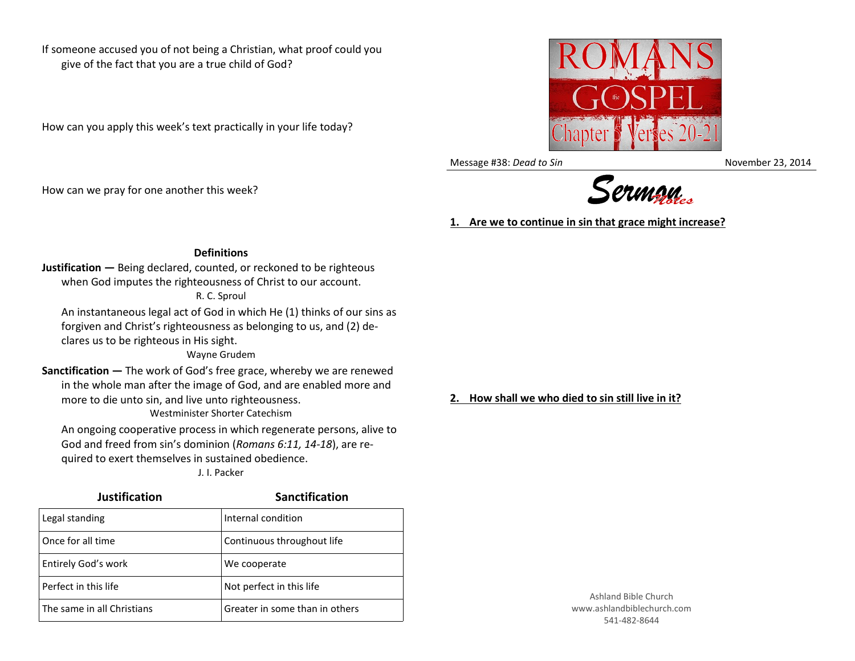If someone accused you of not being a Christian, what proof could you give of the fact that you are a true child of God?

How can you apply this week's text practically in your life today?

How can we pray for one another this week?



Message #38: *Dead to Sin* November 23, 2014



**1. Are we to continue in sin that grace might increase?**

## **Definitions**

**Justification —** Being declared, counted, or reckoned to be righteous when God imputes the righteousness of Christ to our account. R. C. Sproul

An instantaneous legal act of God in which He (1) thinks of our sins as forgiven and Christ's righteousness as belonging to us, and (2) declares us to be righteous in His sight.

Wayne Grudem

**Sanctification —** The work of God's free grace, whereby we are renewed in the whole man after the image of God, and are enabled more and more to die unto sin, and live unto righteousness.

Westminister Shorter Catechism

An ongoing cooperative process in which regenerate persons, alive to God and freed from sin's dominion (*Romans 6:11, 14-18*), are required to exert themselves in sustained obedience. J. I. Packer

| <b>Justification</b>       | <b>Sanctification</b>          |
|----------------------------|--------------------------------|
| Legal standing             | Internal condition             |
| Once for all time          | Continuous throughout life     |
| Entirely God's work        | We cooperate                   |
| Perfect in this life       | Not perfect in this life       |
| The same in all Christians | Greater in some than in others |

**2. How shall we who died to sin still live in it?**

Ashland Bible Church www.ashlandbiblechurch.com 541-482-8644